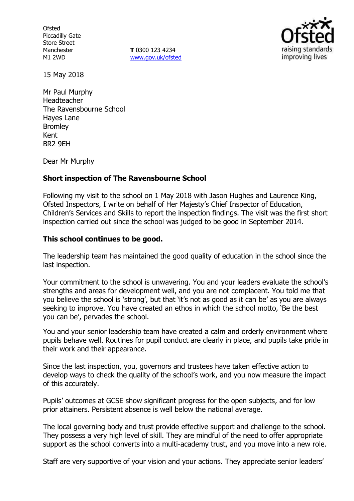**Ofsted** Piccadilly Gate Store Street Manchester M1 2WD

**T** 0300 123 4234 www.gov.uk/ofsted



15 May 2018

Mr Paul Murphy Headteacher The Ravensbourne School Hayes Lane **Bromley** Kent BR2 9EH

Dear Mr Murphy

### **Short inspection of The Ravensbourne School**

Following my visit to the school on 1 May 2018 with Jason Hughes and Laurence King, Ofsted Inspectors, I write on behalf of Her Majesty's Chief Inspector of Education, Children's Services and Skills to report the inspection findings. The visit was the first short inspection carried out since the school was judged to be good in September 2014.

### **This school continues to be good.**

The leadership team has maintained the good quality of education in the school since the last inspection.

Your commitment to the school is unwavering. You and your leaders evaluate the school's strengths and areas for development well, and you are not complacent. You told me that you believe the school is 'strong', but that 'it's not as good as it can be' as you are always seeking to improve. You have created an ethos in which the school motto, 'Be the best you can be', pervades the school.

You and your senior leadership team have created a calm and orderly environment where pupils behave well. Routines for pupil conduct are clearly in place, and pupils take pride in their work and their appearance.

Since the last inspection, you, governors and trustees have taken effective action to develop ways to check the quality of the school's work, and you now measure the impact of this accurately.

Pupils' outcomes at GCSE show significant progress for the open subjects, and for low prior attainers. Persistent absence is well below the national average.

The local governing body and trust provide effective support and challenge to the school. They possess a very high level of skill. They are mindful of the need to offer appropriate support as the school converts into a multi-academy trust, and you move into a new role.

Staff are very supportive of your vision and your actions. They appreciate senior leaders'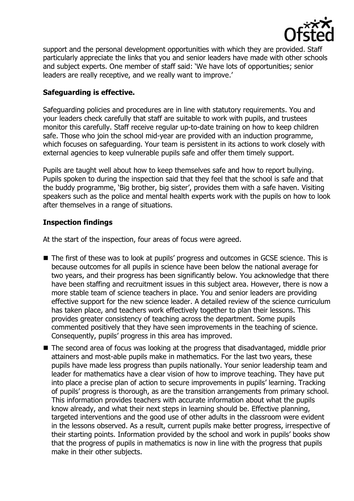

support and the personal development opportunities with which they are provided. Staff particularly appreciate the links that you and senior leaders have made with other schools and subject experts. One member of staff said: 'We have lots of opportunities; senior leaders are really receptive, and we really want to improve.'

## **Safeguarding is effective.**

Safeguarding policies and procedures are in line with statutory requirements. You and your leaders check carefully that staff are suitable to work with pupils, and trustees monitor this carefully. Staff receive regular up-to-date training on how to keep children safe. Those who join the school mid-year are provided with an induction programme, which focuses on safeguarding. Your team is persistent in its actions to work closely with external agencies to keep vulnerable pupils safe and offer them timely support.

Pupils are taught well about how to keep themselves safe and how to report bullying. Pupils spoken to during the inspection said that they feel that the school is safe and that the buddy programme, 'Big brother, big sister', provides them with a safe haven. Visiting speakers such as the police and mental health experts work with the pupils on how to look after themselves in a range of situations.

# **Inspection findings**

At the start of the inspection, four areas of focus were agreed.

- The first of these was to look at pupils' progress and outcomes in GCSE science. This is because outcomes for all pupils in science have been below the national average for two years, and their progress has been significantly below. You acknowledge that there have been staffing and recruitment issues in this subject area. However, there is now a more stable team of science teachers in place. You and senior leaders are providing effective support for the new science leader. A detailed review of the science curriculum has taken place, and teachers work effectively together to plan their lessons. This provides greater consistency of teaching across the department. Some pupils commented positively that they have seen improvements in the teaching of science. Consequently, pupils' progress in this area has improved.
- The second area of focus was looking at the progress that disadvantaged, middle prior attainers and most-able pupils make in mathematics. For the last two years, these pupils have made less progress than pupils nationally. Your senior leadership team and leader for mathematics have a clear vision of how to improve teaching. They have put into place a precise plan of action to secure improvements in pupils' learning. Tracking of pupils' progress is thorough, as are the transition arrangements from primary school. This information provides teachers with accurate information about what the pupils know already, and what their next steps in learning should be. Effective planning, targeted interventions and the good use of other adults in the classroom were evident in the lessons observed. As a result, current pupils make better progress, irrespective of their starting points. Information provided by the school and work in pupils' books show that the progress of pupils in mathematics is now in line with the progress that pupils make in their other subjects.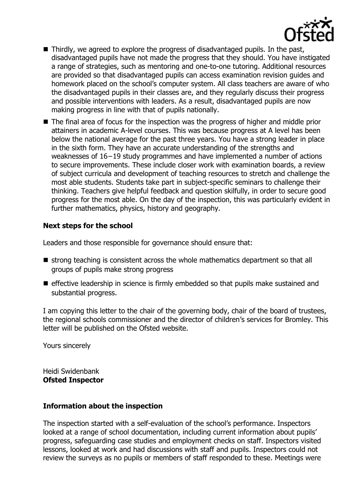

- Thirdly, we agreed to explore the progress of disadvantaged pupils. In the past, disadvantaged pupils have not made the progress that they should. You have instigated a range of strategies, such as mentoring and one-to-one tutoring. Additional resources are provided so that disadvantaged pupils can access examination revision guides and homework placed on the school's computer system. All class teachers are aware of who the disadvantaged pupils in their classes are, and they regularly discuss their progress and possible interventions with leaders. As a result, disadvantaged pupils are now making progress in line with that of pupils nationally.
- The final area of focus for the inspection was the progress of higher and middle prior attainers in academic A-level courses. This was because progress at A level has been below the national average for the past three years. You have a strong leader in place in the sixth form. They have an accurate understanding of the strengths and weaknesses of 16−19 study programmes and have implemented a number of actions to secure improvements. These include closer work with examination boards, a review of subject curricula and development of teaching resources to stretch and challenge the most able students. Students take part in subject-specific seminars to challenge their thinking. Teachers give helpful feedback and question skilfully, in order to secure good progress for the most able. On the day of the inspection, this was particularly evident in further mathematics, physics, history and geography.

## **Next steps for the school**

Leaders and those responsible for governance should ensure that:

- $\blacksquare$  strong teaching is consistent across the whole mathematics department so that all groups of pupils make strong progress
- $\blacksquare$  effective leadership in science is firmly embedded so that pupils make sustained and substantial progress.

I am copying this letter to the chair of the governing body, chair of the board of trustees, the regional schools commissioner and the director of children's services for Bromley. This letter will be published on the Ofsted website.

Yours sincerely

Heidi Swidenbank **Ofsted Inspector**

## **Information about the inspection**

The inspection started with a self-evaluation of the school's performance. Inspectors looked at a range of school documentation, including current information about pupils' progress, safeguarding case studies and employment checks on staff. Inspectors visited lessons, looked at work and had discussions with staff and pupils. Inspectors could not review the surveys as no pupils or members of staff responded to these. Meetings were